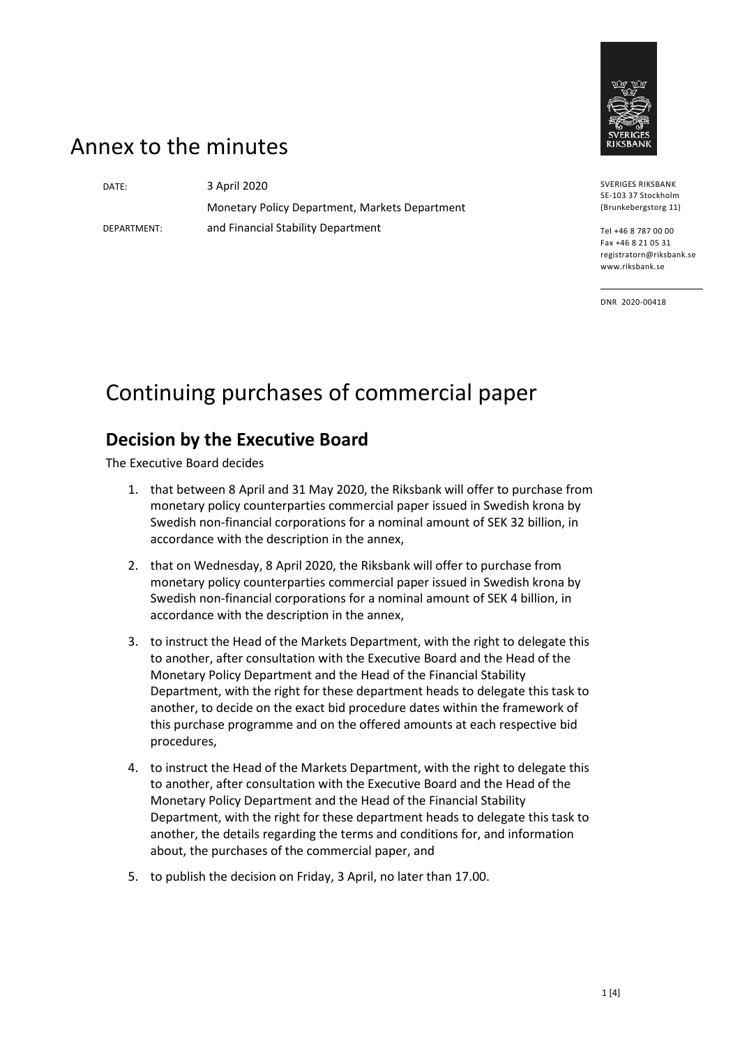

## Annex to the minutes

DEPARTMENT:

DATE: 3 April 2020 Monetary Policy Department, Markets Department and Financial Stability Department

SVERIGES RIKSBANK SE-103 37 Stockholm (Brunkebergstorg 11)

Tel +46 8 787 00 00 Fax +46 8 21 05 31 registratorn@riksbank.se www.riksbank.se

DNR 2020-00418

# Continuing purchases of commercial paper

#### **Decision by the Executive Board**

The Executive Board decides

- 1. that between 8 April and 31 May 2020, the Riksbank will offer to purchase from monetary policy counterparties commercial paper issued in Swedish krona by Swedish non-financial corporations for a nominal amount of SEK 32 billion, in accordance with the description in the annex,
- 2. that on Wednesday, 8 April 2020, the Riksbank will offer to purchase from monetary policy counterparties commercial paper issued in Swedish krona by Swedish non-financial corporations for a nominal amount of SEK 4 billion, in accordance with the description in the annex,
- 3. to instruct the Head of the Markets Department, with the right to delegate this to another, after consultation with the Executive Board and the Head of the Monetary Policy Department and the Head of the Financial Stability Department, with the right for these department heads to delegate this task to another, to decide on the exact bid procedure dates within the framework of this purchase programme and on the offered amounts at each respective bid procedures,
- 4. to instruct the Head of the Markets Department, with the right to delegate this to another, after consultation with the Executive Board and the Head of the Monetary Policy Department and the Head of the Financial Stability Department, with the right for these department heads to delegate this task to another, the details regarding the terms and conditions for, and information about, the purchases of the commercial paper, and
- 5. to publish the decision on Friday, 3 April, no later than 17.00.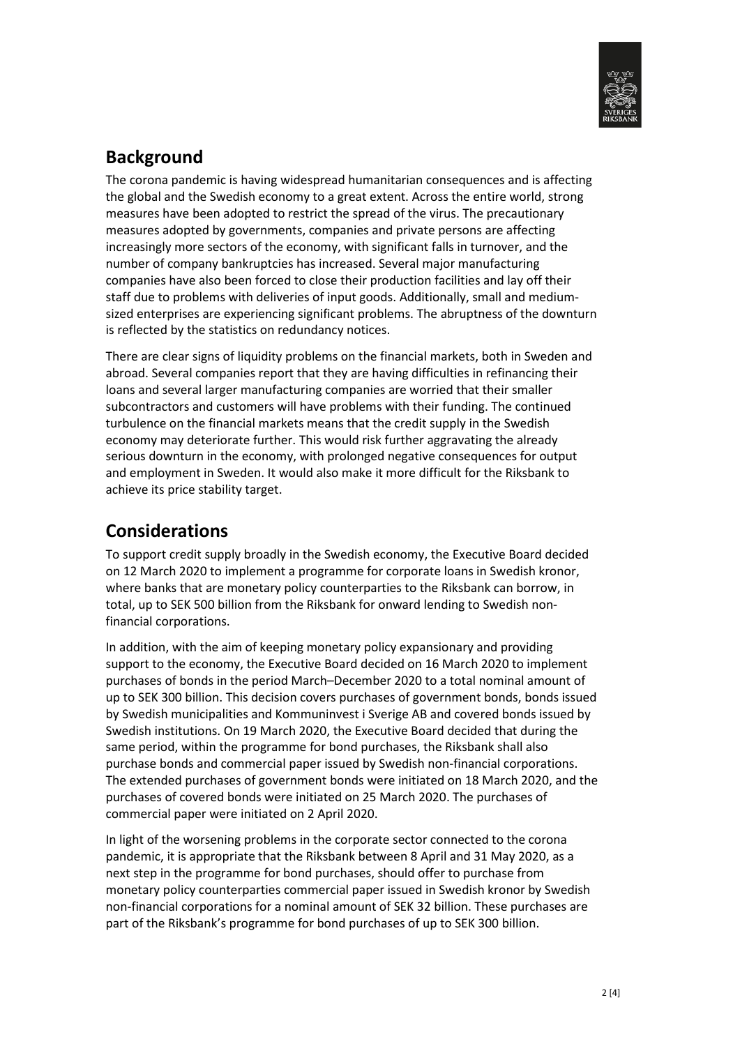

### **Background**

The corona pandemic is having widespread humanitarian consequences and is affecting the global and the Swedish economy to a great extent. Across the entire world, strong measures have been adopted to restrict the spread of the virus. The precautionary measures adopted by governments, companies and private persons are affecting increasingly more sectors of the economy, with significant falls in turnover, and the number of company bankruptcies has increased. Several major manufacturing companies have also been forced to close their production facilities and lay off their staff due to problems with deliveries of input goods. Additionally, small and mediumsized enterprises are experiencing significant problems. The abruptness of the downturn is reflected by the statistics on redundancy notices.

There are clear signs of liquidity problems on the financial markets, both in Sweden and abroad. Several companies report that they are having difficulties in refinancing their loans and several larger manufacturing companies are worried that their smaller subcontractors and customers will have problems with their funding. The continued turbulence on the financial markets means that the credit supply in the Swedish economy may deteriorate further. This would risk further aggravating the already serious downturn in the economy, with prolonged negative consequences for output and employment in Sweden. It would also make it more difficult for the Riksbank to achieve its price stability target.

## **Considerations**

To support credit supply broadly in the Swedish economy, the Executive Board decided on 12 March 2020 to implement a programme for corporate loans in Swedish kronor, where banks that are monetary policy counterparties to the Riksbank can borrow, in total, up to SEK 500 billion from the Riksbank for onward lending to Swedish nonfinancial corporations.

In addition, with the aim of keeping monetary policy expansionary and providing support to the economy, the Executive Board decided on 16 March 2020 to implement purchases of bonds in the period March–December 2020 to a total nominal amount of up to SEK 300 billion. This decision covers purchases of government bonds, bonds issued by Swedish municipalities and Kommuninvest i Sverige AB and covered bonds issued by Swedish institutions. On 19 March 2020, the Executive Board decided that during the same period, within the programme for bond purchases, the Riksbank shall also purchase bonds and commercial paper issued by Swedish non-financial corporations. The extended purchases of government bonds were initiated on 18 March 2020, and the purchases of covered bonds were initiated on 25 March 2020. The purchases of commercial paper were initiated on 2 April 2020.

In light of the worsening problems in the corporate sector connected to the corona pandemic, it is appropriate that the Riksbank between 8 April and 31 May 2020, as a next step in the programme for bond purchases, should offer to purchase from monetary policy counterparties commercial paper issued in Swedish kronor by Swedish non-financial corporations for a nominal amount of SEK 32 billion. These purchases are part of the Riksbank's programme for bond purchases of up to SEK 300 billion.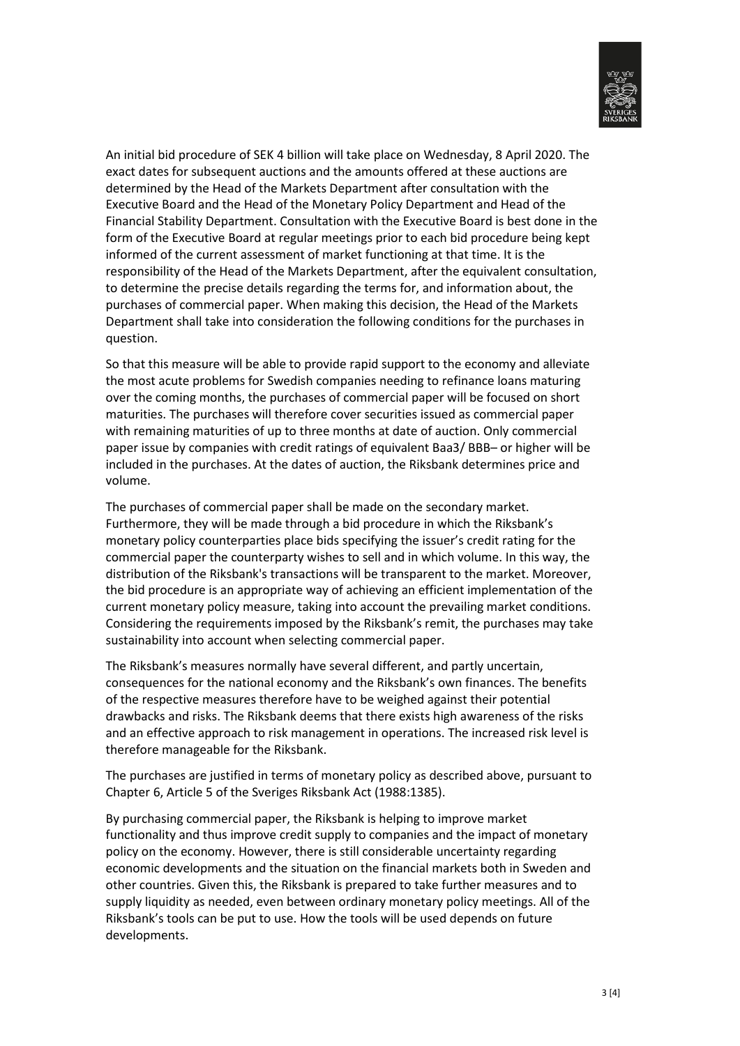

An initial bid procedure of SEK 4 billion will take place on Wednesday, 8 April 2020. The exact dates for subsequent auctions and the amounts offered at these auctions are determined by the Head of the Markets Department after consultation with the Executive Board and the Head of the Monetary Policy Department and Head of the Financial Stability Department. Consultation with the Executive Board is best done in the form of the Executive Board at regular meetings prior to each bid procedure being kept informed of the current assessment of market functioning at that time. It is the responsibility of the Head of the Markets Department, after the equivalent consultation, to determine the precise details regarding the terms for, and information about, the purchases of commercial paper. When making this decision, the Head of the Markets Department shall take into consideration the following conditions for the purchases in question.

So that this measure will be able to provide rapid support to the economy and alleviate the most acute problems for Swedish companies needing to refinance loans maturing over the coming months, the purchases of commercial paper will be focused on short maturities. The purchases will therefore cover securities issued as commercial paper with remaining maturities of up to three months at date of auction. Only commercial paper issue by companies with credit ratings of equivalent Baa3/ BBB– or higher will be included in the purchases. At the dates of auction, the Riksbank determines price and volume.

The purchases of commercial paper shall be made on the secondary market. Furthermore, they will be made through a bid procedure in which the Riksbank's monetary policy counterparties place bids specifying the issuer's credit rating for the commercial paper the counterparty wishes to sell and in which volume. In this way, the distribution of the Riksbank's transactions will be transparent to the market. Moreover, the bid procedure is an appropriate way of achieving an efficient implementation of the current monetary policy measure, taking into account the prevailing market conditions. Considering the requirements imposed by the Riksbank's remit, the purchases may take sustainability into account when selecting commercial paper.

The Riksbank's measures normally have several different, and partly uncertain, consequences for the national economy and the Riksbank's own finances. The benefits of the respective measures therefore have to be weighed against their potential drawbacks and risks. The Riksbank deems that there exists high awareness of the risks and an effective approach to risk management in operations. The increased risk level is therefore manageable for the Riksbank.

The purchases are justified in terms of monetary policy as described above, pursuant to Chapter 6, Article 5 of the Sveriges Riksbank Act (1988:1385).

By purchasing commercial paper, the Riksbank is helping to improve market functionality and thus improve credit supply to companies and the impact of monetary policy on the economy. However, there is still considerable uncertainty regarding economic developments and the situation on the financial markets both in Sweden and other countries. Given this, the Riksbank is prepared to take further measures and to supply liquidity as needed, even between ordinary monetary policy meetings. All of the Riksbank's tools can be put to use. How the tools will be used depends on future developments.